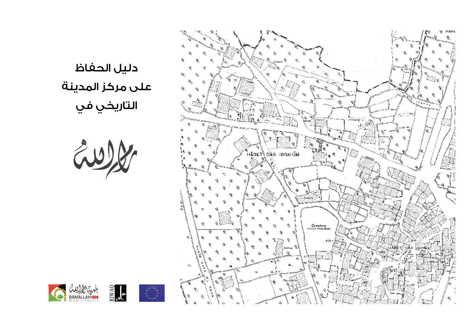

دليل الحفاظ على مركز المدينة<br>التاريخي في

EWW

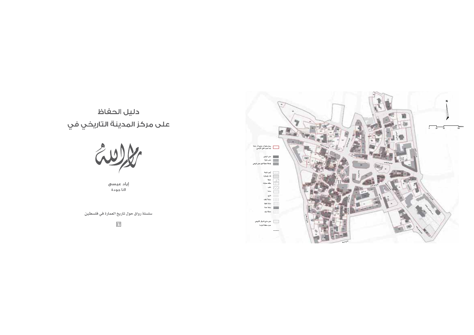# دليل الحفاظ



إياد عيسى ِ<br>لانا جودة

سلسلة رواق حول تاريخ العمارة في فلسطين

17

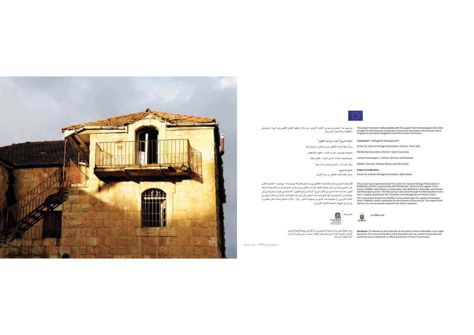



This project has been made possible with the support from the European Union (EU) - تم تمويل هذا المشروع بدعم من الاتحاد الأوروبي، من خلال اتفاقية التعاون الإظليمي في الجوار المتوسطي rins project has been made possible with the support noni the curopean onion (cb) . لم تفوين هذا المسروع بدعم من الا<br>through the Development Cooperation Instrument and Eastern Partnership Culture<br>Programme (European Neigh

> :"Consortium " Heritage for Development " شركاء مشروع "التراث من أجل التطوير" Center for Cultural Heritage Preservation, Director: Issam Juha مركز حفظ التراث الثقافي، المدير العام: م. عصام جحا Rehabimed Association, Director: Xavier Casanovas مجموعة ريهابيميد، المدير العام: د. خافيير كازانوفاس RIWAQ, Directors: Khaldun Bshara and Fida Touma رواق، المدراء: د. خلدون بشارة وم. فداء توما .<br>Project Coordination منسق المشروع: Center for Cultural Heritage Preservation, Nada Atrash مركز حفظ التراث الثقافي، م. ندى الاطرش

This project was implemented by The Center for Cultural Heritage Preservation in — قام بتنفيذ المشروع مركز حفظ التراث الثقافي في بيت لعم وبالشراكة مع مؤسسة – ريهابيميد– المشرف التقني .<br>على المشروع وكل من رواق وجمعية تقنيات التراث، بالتعاون مع بلدية بيت لحم وبلدية رام الله وبلدية السلط الكبرى. تم اعداد هذا الدليل من خلال مشروع <sup>"ا</sup>لتراث من أجل التطوير" : الاستثمار في الموارد البشرية من أجل حماية المدن التاريخية وادارتها، فام بإعداد هذا الدئيل مركز رواق. تمت طباعة هذا الدليل من خلال التمويل من الاتحاد الاوروبي. إن محتويات هذا الدليل من مسؤولية الناشر- رواق-، والآراء المنشورة هيه لا تعبر بالضرورة



دليل الحفاظ على مركز المدينة التاريخي في رام الله ليس وثيقة فانونية ولا تمتبر<br>الأسماء والحدود الواردة في الدليل دليل ملكية أو مستند رسمي يمكن أن يتداول<br>أمام الجهات الرسمية.

دار إلياس أبو فرح ( W25 ) – حي دار ابراهيم

This manual was prepared by RIWAQ. It was printed with the support of European ims manues was prepared by inverse, it was pimited. In the support of curopean<br>Union. RIWAQ is solely responsible for the contents of the matual. The material and<br>Opinions do not necessarily represent the donor's opinions بدعر مشترك من

explore was implemented by the Center for Caludar increase reservations.<br>Bethlehem (CCHP), in partnership with Rehabimed- the technical support of the<br>project, RIWAQ, and Cultech, in cooperation with Bethlehem, Ramallah, a

Salt Municipal councils. This Microsoft was possessed through the Development Instru-<br>Salt Municipal councils. This Manual was sponsored through the Development Instru-<br>ment: Capacity Building for the Protection and Manage

Disclaimer: The Manual for the Protection of the Historic Centre of Ramallah is not a legal document. The names and borders of the illustrations are not a proof of ownership and<br>cannot be used as statements or official documents in front of courthouses.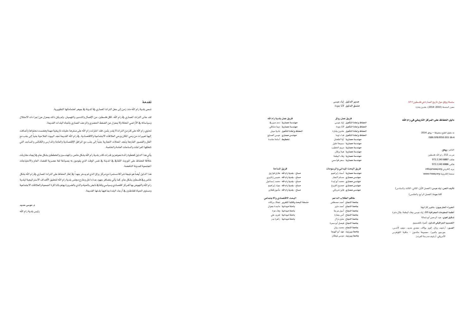## سلسلة رواق حول تاريخ العمارة في فلسطين # 17 .<br>محرر السلسلة (2010–2014): خلدون بشارة

## دليل الحفاظ على المركز التاريخي في رام الله

@ حقوق الطبع محفوظة — رواق، 2014 ISBN 978-9950-303-16-4

## الناشر : glgp ص.ب. 212، رام الله، فلسطين .<br>ماتف: 6887 2240 972 .<br>فاکس: 6986 2240 972 برید اِلکٹرونی: info@riwaq.org .<br>صفحة الكثرونية: www.riwaq.orq

## ـ<br>تأليف النص: إياد عيسى ( الفصل الأول، الثاني، الثالث والسادس)

لانا جودة (الفصل الرابع والخامس)

# الخبراء الخارجيون؛ خافيير كازانوفا .<br>أ**نظمة المعلومات الحفر افتة GIS :** أياد عسبي، وقاء البطمة، بلال دغر ة تدقيق لغوي؛ عبد الرحمن أبو شمالة التصميم الجرافيكي للدليل: أضواء للتصميم .<br>الصنور: أرشيف رواق، إلويز بولاك، مجدى حديد، ديفيد لاندس، ۔<br>جورجیو بالمیرا، مجموعة ماتسون - مکتبة الکونغرس الأمريكي، أرشيف مدرسة الفرندز

۔<br>مدیر الدلیل اِیاد عیسی .<br>منسق الدليل الأنا جودة

فريق عمل رواق الحفاظ وإعادة التأهيل إياد عيسى .<br>الحفاظ وإعادة التأهيل الأنا جودة ..<br>الحفاظ وإعادة التأهيل ًفداء توما ر.<br>مهندسة معمارية - آية الطحان مهندسة معمارية سميحة خليل مهندسة معمارية مريم الخطيب .<br>مهندسة معمارية هبة برقان مهندسة معمارية وفاء البطمة مهندسة معمارية سحر قواسمى

فريق البحث المداني والرسومات ر\_\_ .<br>مهندسة معمارية أسماء إبراهيم مهندس معماري حسام اللجار .<br>مهندس معماري محمد أبو ليدة مهندس معمارى اممدوح الفروخ ۔<br>مهندس معماری فایز شرباتی

طاقم الطلاب الداعم جامعة اللجاح أحمد مصطفى .<br>جامعة النجاح أسيل عرجة ب<br>جامعة اللجاح أنس جعارة جامعة اللجاح فيصل أبو سمرة جامعة النجاح محمد ريان .<br>جامعة بيرزيت عهد أبو الهيجا جامعة بيرزيت موسى غيظان

#### فريق عمل بلدية رام الله مهندسة معمارية دعد صيريخ مهندسة معمارية ديما مشاقى -<br>الحفاظ واعادة التأهيا - نادية حيث -مهندس معمارى عيسى الصايغ ن - جــوـــون<br>- تخطيط أسامة حامدة

فريق المباحة مساح ـ بلدية رام الله طارق قواريق مساح - بلدية رام الله حميس زنانيري ۔<br>مساح - بلدیة رام الله محمد إسماعیل .<br>مساح ـ بلدية رام الله - جواد إبر اهيم -.<br>مساح – بلدية رام الله مأمون قطارو

#### البحث الاقتصادي والاجتماعي منسقة البحث وكتابة التقرير لجلاء بركات

باجثة مبدانية إماجدة جموان .<br>ماحثة مبدائية وفاء عزة باحثة ميدانية تغريد على -<br>ب**احثة ميدانية** زاهرةبدر

# $7.4.17$

-<br>تسمى بلدية رام الله منذ زمن إلى جمل التراث المماري <u>&</u> الدينة & جوهر اهتماماتها التطويرية.

لقد عاني التراث المماري في رام الله، ككل فلسطين، من الإهمال والتدمير والتهميش. ولم يكن ذلك بممزل عن إجراءات الاحتلال وسياساته في الأراضي المحتلة ولا بمعزل عن الضغط الحضري والزحف المماري باتجاه البلدات القديمة.

تحتوى رام الله على كنزمن التراث لا يقدر بثمن، فقد اختزلت رام الله على صغرها حقبات تاريخية مهمة وهضمت محتواها وأضافت .<br>إليها تعبيرات من وحي المكان ووحي العلاقات الاجتماعية والاقتصادية. في رام الله القديمة نجد البيوت الفلاحية جنباً إلى جنب مع .<br>الفلل والقصور الفارهة ونجد المحلات التجارية جنباً إلى جنب مع المرافق الإقتصادية والعامة والمدارس والكنائس والمساجد التي .<br>تتخللها الفر اغات والساحات العامة والخاصة.

يأتى هذا الدليل كخطوة رائدة نحوتعزيز قدرات كادر بلدية رام الله بشكل خاص، والمندسين والخططين بشكل عام فج إيجاد مقاربات .<br>خلاّفة للحفاظ على الموروث الثقافي في الدينة في نفس الوقت الذي يقومون به بصياغة لغة عصرية للفضاء العام والاحتياجات .<br>الحتمسة للمدينة الناهضة.

هذا الدليل أيضاً هونتيجة شراكة مستمرة مع مركز رواق الذي لم يدخر جهداً في إطار الحفاظ على التراث المماري في رام الله بشكل خاص ويخ فلسطين بشكل عام. كما يأتي بتضافر جهود عدة داخل وخارج مجلس بلدية رام الله لتحقيق الأهداف الاستراتيجية لبلدية رام الله والنهوض بها كمركز اقتصادي وسياسي وثقافي نابض بالحياه والذي بالضرورة يهتم بالذاكرة الجمعية والعلاقات الاجتماعية ومستوى الحياة للقاطنين في أرجاء البلدة بما فيها بلدتها القديمة.

م. موسی حدید رئيس بلدية رام الله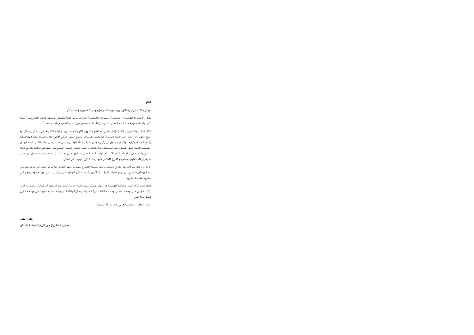# شکر

لم يكن هذا الدليل ليري النور دون دعم وإسناد وعمل وجهود شخوص ومؤسسات كثّر:

.<br>نشكر أولاً عشرات الهندسين والخططين والتطوعين والختصين الذين لم يبخلوا علينا بجهدهم وعطائهم لإنجاز الشروع على أحسن .<br>شكل، وكما قد ذكرناهم في صفحة حقوق الطبع اعتراهاً منا بأهمية دورهم ولا حاجة لذكرهم بالإسم مجدداً.

كذلك نشكر لجنة الموروث الثقافي في بلدية رام الله لعملهم الدؤوب لإقرار الخطط ووضع البلدة القديمة على سلم أولويات البلدية وضخ الجهد والمال نحو إحياء البلدة القديمة. كما نشكر مؤسسات الجنمع المدني وممثلي أهالي البلدة القديمة لمشاركتهم البناءة ـــ<br>ـــ ذهع الخطة وإقرارها. والشكر موصول الى رئيس مجلس بلدية رام الله المفدس موسى حديد ومدير البلدية السيد أحمد أبو لبن ومهندسي البلدية عدي الهندي، دعد الصيرية، ديما مشاقي، وأسامة حامدة، وعيسى الصايغ على جهودهم الخاصة فج دفع عجلة الشروع وتحويله الى واقع. كما نشكر الأستاذة المهندسة نادية حبش والدكتور حسن أبو شلبك والسيدة جانيت ميخائيل من مجلس بلدية رام الله لعملهم المباشر مع الفريق المختص لإنجاز هذا الدليل، لهم منا كل الشكر.

ولا بد من شكر شركائنا فج الشروع ونخص بالذكر منسقة الشروع الهندسة ندى الأطرش من مركز حفظ التراث فج بيت لحم والدكتورة لين فأخوري من مركز تقنيات التراث في الأردن والسيد خافير كازانوفا من ريهابيميد، على جهودهم ومعرفتهم التي سخروها لخدمة الشروع.

كذلك نشكر فرّاء الدليل وبخاصة المندسة فداء توما، ونشكر محرر اللفة العربية السيد عبد الرحمن أبو شمالة، والصورين إلويز بولاك، مجدي حديد وديفيد لاندس، ومصمم الكتاب شركة أضواء، ومدفق الوقائع التاريخية د. سميح حمودة على جهدهم الكبير لإنجاز هذا العمل.

الشكر الخاص والخالص لأهالي بلدة رام الله القديمة.

خلدون بشارة

محرر سلسلة رواق حول تاريخ العمارة فج فلسطين